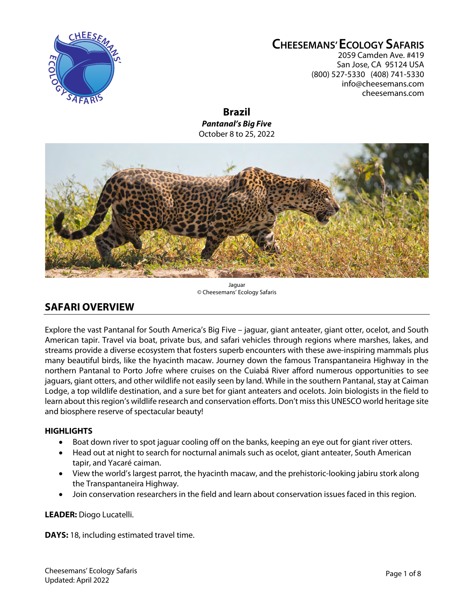

# **CHEESEMANS' ECOLOGY SAFARIS**

2059 Camden Ave. #419 San Jose, CA 95124 USA (800) 527-5330 (408) 741-5330 info@cheesemans.com cheesemans.com

**Brazil** *Pantanal's Big Five* October 8 to 25, 2022



Jaguar © Cheesemans' Ecology Safaris

## **SAFARI OVERVIEW**

Explore the vast Pantanal for South America's Big Five – jaguar, giant anteater, giant otter, ocelot, and South American tapir. Travel via boat, private bus, and safari vehicles through regions where marshes, lakes, and streams provide a diverse ecosystem that fosters superb encounters with these awe-inspiring mammals plus many beautiful birds, like the hyacinth macaw. Journey down the famous Transpantaneira Highway in the northern Pantanal to Porto Jofre where cruises on the Cuiabá River afford numerous opportunities to see jaguars, giant otters, and other wildlife not easily seen by land. While in the southern Pantanal, stay at Caiman Lodge, a top wildlife destination, and a sure bet for giant anteaters and ocelots. Join biologists in the field to learn about this region's wildlife research and conservation efforts. Don't miss this UNESCO world heritage site and biosphere reserve of spectacular beauty!

#### **HIGHLIGHTS**

- Boat down river to spot jaguar cooling off on the banks, keeping an eye out for giant river otters.
- Head out at night to search for nocturnal animals such as ocelot, giant anteater, South American tapir, and Yacaré caiman.
- View the world's largest parrot, the hyacinth macaw, and the prehistoric-looking jabiru stork along the Transpantaneira Highway.
- Join conservation researchers in the field and learn about conservation issues faced in this region.

**LEADER:** Diogo Lucatelli.

**DAYS:** 18, including estimated travel time.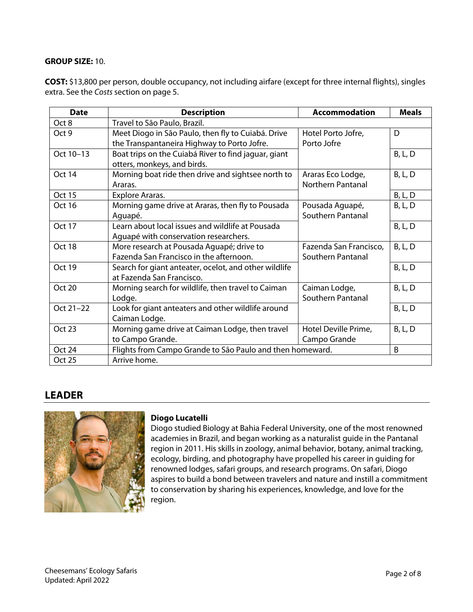#### **GROUP SIZE:** 10.

**COST:** \$13,800 per person, double occupancy, not including airfare (except for three internal flights), singles extra. See the *Costs* section on page 5.

| <b>Date</b>   | <b>Description</b>                                        | <b>Accommodation</b>     | <b>Meals</b>   |
|---------------|-----------------------------------------------------------|--------------------------|----------------|
| Oct 8         | Travel to São Paulo, Brazil.                              |                          |                |
| Oct 9         | Meet Diogo in São Paulo, then fly to Cuiabá. Drive        | Hotel Porto Jofre,       | D              |
|               | the Transpantaneira Highway to Porto Jofre.               | Porto Jofre              |                |
| Oct 10-13     | Boat trips on the Cuiabá River to find jaguar, giant      |                          | B, L, D        |
|               | otters, monkeys, and birds.                               |                          |                |
| Oct 14        | Morning boat ride then drive and sightsee north to        | Araras Eco Lodge,        | <b>B, L, D</b> |
|               | Araras.                                                   | <b>Northern Pantanal</b> |                |
| <b>Oct 15</b> | Explore Araras.                                           |                          | <b>B, L, D</b> |
| Oct 16        | Morning game drive at Araras, then fly to Pousada         | Pousada Aguapé,          | B, L, D        |
|               | Aguapé.                                                   | Southern Pantanal        |                |
| <b>Oct 17</b> | Learn about local issues and wildlife at Pousada          |                          | <b>B, L, D</b> |
|               | Aguapé with conservation researchers.                     |                          |                |
| Oct 18        | More research at Pousada Aguapé; drive to                 | Fazenda San Francisco,   | B, L, D        |
|               | Fazenda San Francisco in the afternoon.                   | Southern Pantanal        |                |
| Oct 19        | Search for giant anteater, ocelot, and other wildlife     |                          | B, L, D        |
|               | at Fazenda San Francisco.                                 |                          |                |
| Oct 20        | Morning search for wildlife, then travel to Caiman        | Caiman Lodge,            | B, L, D        |
|               | Lodge.                                                    | Southern Pantanal        |                |
| Oct 21-22     | Look for giant anteaters and other wildlife around        |                          | <b>B, L, D</b> |
|               | Caiman Lodge.                                             |                          |                |
| <b>Oct 23</b> | Morning game drive at Caiman Lodge, then travel           | Hotel Deville Prime,     | <b>B, L, D</b> |
|               | to Campo Grande.                                          | Campo Grande             |                |
| Oct 24        | Flights from Campo Grande to São Paulo and then homeward. |                          | B              |
| Oct 25        | Arrive home.                                              |                          |                |

## **LEADER**



#### **Diogo Lucatelli**

Diogo studied Biology at Bahia Federal University, one of the most renowned academies in Brazil, and began working as a naturalist guide in the Pantanal region in 2011. His skills in zoology, animal behavior, botany, animal tracking, ecology, birding, and photography have propelled his career in guiding for renowned lodges, safari groups, and research programs. On safari, Diogo aspires to build a bond between travelers and nature and instill a commitment to conservation by sharing his experiences, knowledge, and love for the region.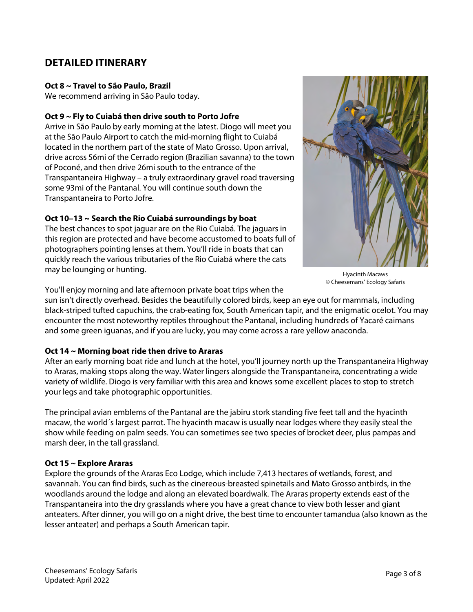## **DETAILED ITINERARY**

#### **Oct 8 ~ Travel to São Paulo, Brazil**

We recommend arriving in São Paulo today.

#### **Oct 9 ~ Fly to Cuiabá then drive south to Porto Jofre**

Arrive in São Paulo by early morning at the latest. Diogo will meet you at the São Paulo Airport to catch the mid-morning flight to Cuiabá located in the northern part of the state of Mato Grosso. Upon arrival, drive across 56mi of the Cerrado region (Brazilian savanna) to the town of Poconé, and then drive 26mi south to the entrance of the Transpantaneira Highway – a truly extraordinary gravel road traversing some 93mi of the Pantanal. You will continue south down the Transpantaneira to Porto Jofre.

#### **Oct 10–13 ~ Search the Rio Cuiabá surroundings by boat**

The best chances to spot jaguar are on the Rio Cuiabá. The jaguars in this region are protected and have become accustomed to boats full of photographers pointing lenses at them. You'll ride in boats that can quickly reach the various tributaries of the Rio Cuiabá where the cats may be lounging or hunting.



Hyacinth Macaws © Cheesemans' Ecology Safaris

You'll enjoy morning and late afternoon private boat trips when the

sun isn't directly overhead. Besides the beautifully colored birds, keep an eye out for mammals, including black-striped tufted capuchins, the crab-eating fox, South American tapir, and the enigmatic ocelot. You may encounter the most noteworthy reptiles throughout the Pantanal, including hundreds of Yacaré caimans and some green iguanas, and if you are lucky, you may come across a rare yellow anaconda.

#### **Oct 14 ~ Morning boat ride then drive to Araras**

After an early morning boat ride and lunch at the hotel, you'll journey north up the Transpantaneira Highway to Araras, making stops along the way. Water lingers alongside the Transpantaneira, concentrating a wide variety of wildlife. Diogo is very familiar with this area and knows some excellent places to stop to stretch your legs and take photographic opportunities.

The principal avian emblems of the Pantanal are the jabiru stork standing five feet tall and the hyacinth macaw, the world´s largest parrot. The hyacinth macaw is usually near lodges where they easily steal the show while feeding on palm seeds. You can sometimes see two species of brocket deer, plus pampas and marsh deer, in the tall grassland.

#### **Oct 15 ~ Explore Araras**

Explore the grounds of the Araras Eco Lodge, which include 7,413 hectares of wetlands, forest, and savannah. You can find birds, such as the cinereous-breasted spinetails and Mato Grosso antbirds, in the woodlands around the lodge and along an elevated boardwalk. The Araras property extends east of the Transpantaneira into the dry grasslands where you have a great chance to view both lesser and giant anteaters. After dinner, you will go on a night drive, the best time to encounter tamandua (also known as the lesser anteater) and perhaps a South American tapir.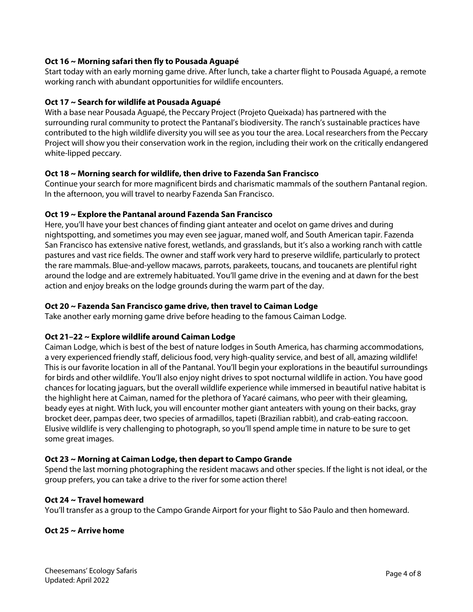#### **Oct 16 ~ Morning safari then fly to Pousada Aguapé**

Start today with an early morning game drive. After lunch, take a charter flight to Pousada Aguapé, a remote working ranch with abundant opportunities for wildlife encounters.

#### **Oct 17 ~ Search for wildlife at Pousada Aguapé**

With a base near Pousada Aguapé, the Peccary Project (Projeto Queixada) has partnered with the surrounding rural community to protect the Pantanal's biodiversity. The ranch's sustainable practices have contributed to the high wildlife diversity you will see as you tour the area. Local researchers from the Peccary Project will show you their conservation work in the region, including their work on the critically endangered white-lipped peccary.

#### **Oct 18 ~ Morning search for wildlife, then drive to Fazenda San Francisco**

Continue your search for more magnificent birds and charismatic mammals of the southern Pantanal region. In the afternoon, you will travel to nearby Fazenda San Francisco.

#### **Oct 19 ~ Explore the Pantanal around Fazenda San Francisco**

Here, you'll have your best chances of finding giant anteater and ocelot on game drives and during nightspotting, and sometimes you may even see jaguar, maned wolf, and South American tapir. Fazenda San Francisco has extensive native forest, wetlands, and grasslands, but it's also a working ranch with cattle pastures and vast rice fields. The owner and staff work very hard to preserve wildlife, particularly to protect the rare mammals. Blue-and-yellow macaws, parrots, parakeets, toucans, and toucanets are plentiful right around the lodge and are extremely habituated. You'll game drive in the evening and at dawn for the best action and enjoy breaks on the lodge grounds during the warm part of the day.

#### **Oct 20 ~ Fazenda San Francisco game drive, then travel to Caiman Lodge**

Take another early morning game drive before heading to the famous Caiman Lodge.

#### **Oct 21–22 ~ Explore wildlife around Caiman Lodge**

Caiman Lodge, which is best of the best of nature lodges in South America, has charming accommodations, a very experienced friendly staff, delicious food, very high-quality service, and best of all, amazing wildlife! This is our favorite location in all of the Pantanal. You'll begin your explorations in the beautiful surroundings for birds and other wildlife. You'll also enjoy night drives to spot nocturnal wildlife in action. You have good chances for locating jaguars, but the overall wildlife experience while immersed in beautiful native habitat is the highlight here at Caiman, named for the plethora of Yacaré caimans, who peer with their gleaming, beady eyes at night. With luck, you will encounter mother giant anteaters with young on their backs, gray brocket deer, pampas deer, two species of armadillos, tapeti (Brazilian rabbit), and crab-eating raccoon. Elusive wildlife is very challenging to photograph, so you'll spend ample time in nature to be sure to get some great images.

#### **Oct 23 ~ Morning at Caiman Lodge, then depart to Campo Grande**

Spend the last morning photographing the resident macaws and other species. If the light is not ideal, or the group prefers, you can take a drive to the river for some action there!

#### **Oct 24 ~ Travel homeward**

You'll transfer as a group to the Campo Grande Airport for your flight to São Paulo and then homeward.

#### **Oct 25 ~ Arrive home**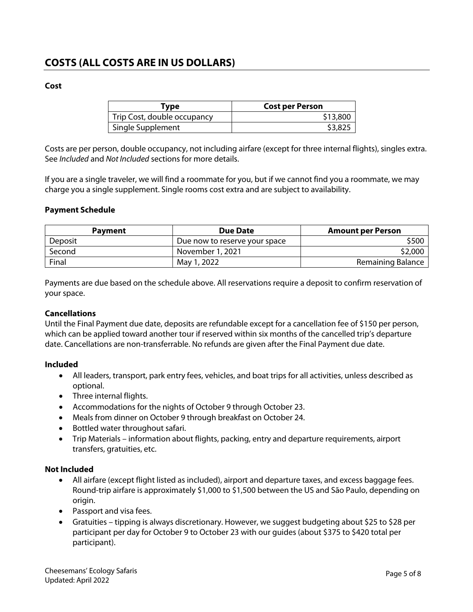## **COSTS (ALL COSTS ARE IN US DOLLARS)**

#### **Cost**

| Tvpe                        | <b>Cost per Person</b> |
|-----------------------------|------------------------|
| Trip Cost, double occupancy | \$13,800               |
| Single Supplement           | \$3,825                |

Costs are per person, double occupancy, not including airfare (except for three internal flights), singles extra. See *Included* and *Not Included* sections for more details.

If you are a single traveler, we will find a roommate for you, but if we cannot find you a roommate, we may charge you a single supplement. Single rooms cost extra and are subject to availability.

#### **Payment Schedule**

| <b>Payment</b> | <b>Due Date</b>               | <b>Amount per Person</b> |
|----------------|-------------------------------|--------------------------|
| Deposit        | Due now to reserve your space | \$500                    |
| Second         | November 1, 2021              | \$2,000                  |
| Final          | May 1, 2022                   | Remaining Balance        |

Payments are due based on the schedule above. All reservations require a deposit to confirm reservation of your space.

#### **Cancellations**

Until the Final Payment due date, deposits are refundable except for a cancellation fee of \$150 per person, which can be applied toward another tour if reserved within six months of the cancelled trip's departure date. Cancellations are non-transferrable. No refunds are given after the Final Payment due date.

#### **Included**

- All leaders, transport, park entry fees, vehicles, and boat trips for all activities, unless described as optional.
- Three internal flights.
- Accommodations for the nights of October 9 through October 23.
- Meals from dinner on October 9 through breakfast on October 24.
- Bottled water throughout safari.
- Trip Materials information about flights, packing, entry and departure requirements, airport transfers, gratuities, etc.

#### **Not Included**

- All airfare (except flight listed as included), airport and departure taxes, and excess baggage fees. Round-trip airfare is approximately \$1,000 to \$1,500 between the US and São Paulo, depending on origin.
- Passport and visa fees.
- Gratuities tipping is always discretionary. However, we suggest budgeting about \$25 to \$28 per participant per day for October 9 to October 23 with our guides (about \$375 to \$420 total per participant).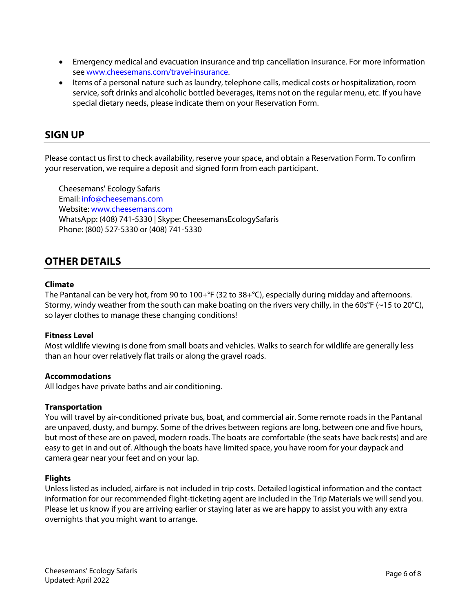- Emergency medical and evacuation insurance and trip cancellation insurance. For more information see www.cheesemans.com/travel-insurance.
- Items of a personal nature such as laundry, telephone calls, medical costs or hospitalization, room service, soft drinks and alcoholic bottled beverages, items not on the regular menu, etc. If you have special dietary needs, please indicate them on your Reservation Form.

#### **SIGN UP**

Please contact us first to check availability, reserve your space, and obtain a Reservation Form. To confirm your reservation, we require a deposit and signed form from each participant.

Cheesemans' Ecology Safaris Email: info@cheesemans.com Website: www.cheesemans.com WhatsApp: (408) 741-5330 | Skype: CheesemansEcologySafaris Phone: (800) 527-5330 or (408) 741-5330

### **OTHER DETAILS**

#### **Climate**

The Pantanal can be very hot, from 90 to 100+°F (32 to 38+°C), especially during midday and afternoons. Stormy, windy weather from the south can make boating on the rivers very chilly, in the 60s°F (~15 to 20°C), so layer clothes to manage these changing conditions!

#### **Fitness Level**

Most wildlife viewing is done from small boats and vehicles. Walks to search for wildlife are generally less than an hour over relatively flat trails or along the gravel roads.

#### **Accommodations**

All lodges have private baths and air conditioning.

#### **Transportation**

You will travel by air-conditioned private bus, boat, and commercial air. Some remote roads in the Pantanal are unpaved, dusty, and bumpy. Some of the drives between regions are long, between one and five hours, but most of these are on paved, modern roads. The boats are comfortable (the seats have back rests) and are easy to get in and out of. Although the boats have limited space, you have room for your daypack and camera gear near your feet and on your lap.

#### **Flights**

Unless listed as included, airfare is not included in trip costs. Detailed logistical information and the contact information for our recommended flight-ticketing agent are included in the Trip Materials we will send you. Please let us know if you are arriving earlier or staying later as we are happy to assist you with any extra overnights that you might want to arrange.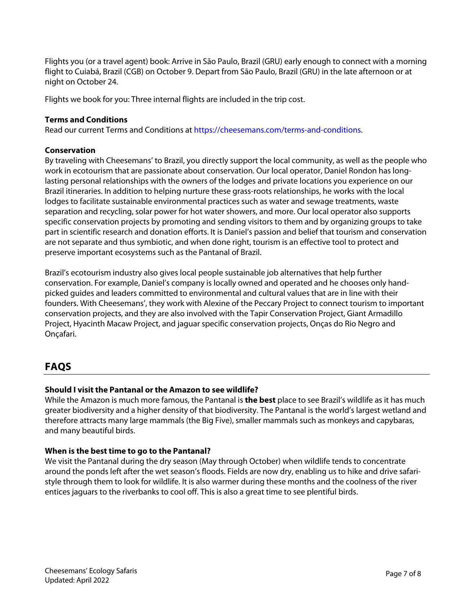Flights you (or a travel agent) book: Arrive in São Paulo, Brazil (GRU) early enough to connect with a morning flight to Cuiabá, Brazil (CGB) on October 9. Depart from São Paulo, Brazil (GRU) in the late afternoon or at night on October 24.

Flights we book for you: Three internal flights are included in the trip cost.

#### **Terms and Conditions**

Read our current Terms and Conditions at https://cheesemans.com/terms-and-conditions.

#### **Conservation**

By traveling with Cheesemans' to Brazil, you directly support the local community, as well as the people who work in ecotourism that are passionate about conservation. Our local operator, Daniel Rondon has longlasting personal relationships with the owners of the lodges and private locations you experience on our Brazil itineraries. In addition to helping nurture these grass-roots relationships, he works with the local lodges to facilitate sustainable environmental practices such as water and sewage treatments, waste separation and recycling, solar power for hot water showers, and more. Our local operator also supports specific conservation projects by promoting and sending visitors to them and by organizing groups to take part in scientific research and donation efforts. It is Daniel's passion and belief that tourism and conservation are not separate and thus symbiotic, and when done right, tourism is an effective tool to protect and preserve important ecosystems such as the Pantanal of Brazil.

Brazil's ecotourism industry also gives local people sustainable job alternatives that help further conservation. For example, Daniel's company is locally owned and operated and he chooses only handpicked guides and leaders committed to environmental and cultural values that are in line with their founders. With Cheesemans', they work with Alexine of the Peccary Project to connect tourism to important conservation projects, and they are also involved with the Tapir Conservation Project, Giant Armadillo Project, Hyacinth Macaw Project, and jaguar specific conservation projects, Onças do Rio Negro and Onçafari.

## **FAQS**

#### **Should I visit the Pantanal or the Amazon to see wildlife?**

While the Amazon is much more famous, the Pantanal is **the best** place to see Brazil's wildlife as it has much greater biodiversity and a higher density of that biodiversity. The Pantanal is the world's largest wetland and therefore attracts many large mammals (the Big Five), smaller mammals such as monkeys and capybaras, and many beautiful birds.

#### **When is the best time to go to the Pantanal?**

We visit the Pantanal during the dry season (May through October) when wildlife tends to concentrate around the ponds left after the wet season's floods. Fields are now dry, enabling us to hike and drive safaristyle through them to look for wildlife. It is also warmer during these months and the coolness of the river entices jaguars to the riverbanks to cool off. This is also a great time to see plentiful birds.